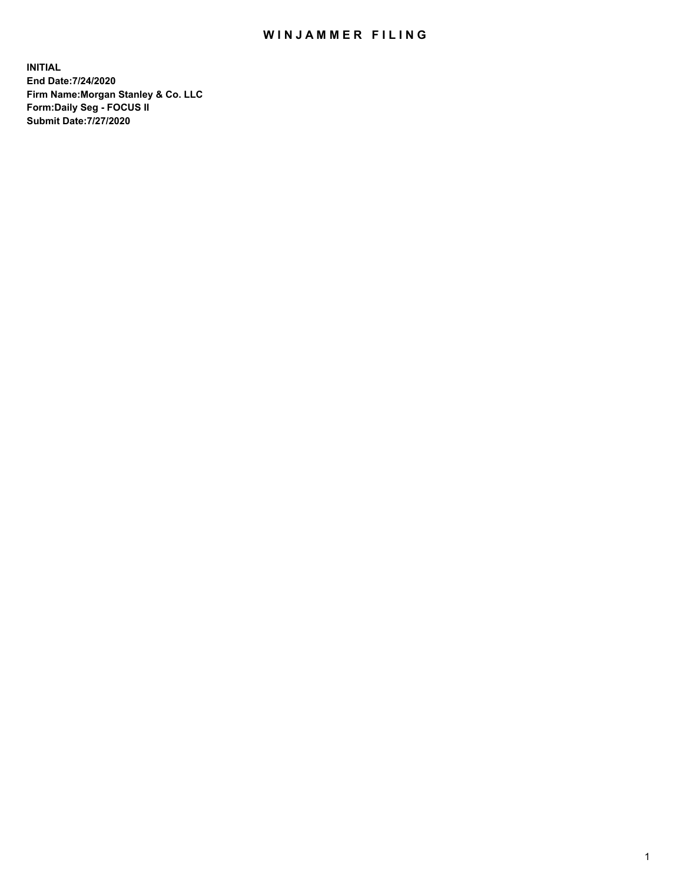## WIN JAMMER FILING

**INITIAL End Date:7/24/2020 Firm Name:Morgan Stanley & Co. LLC Form:Daily Seg - FOCUS II Submit Date:7/27/2020**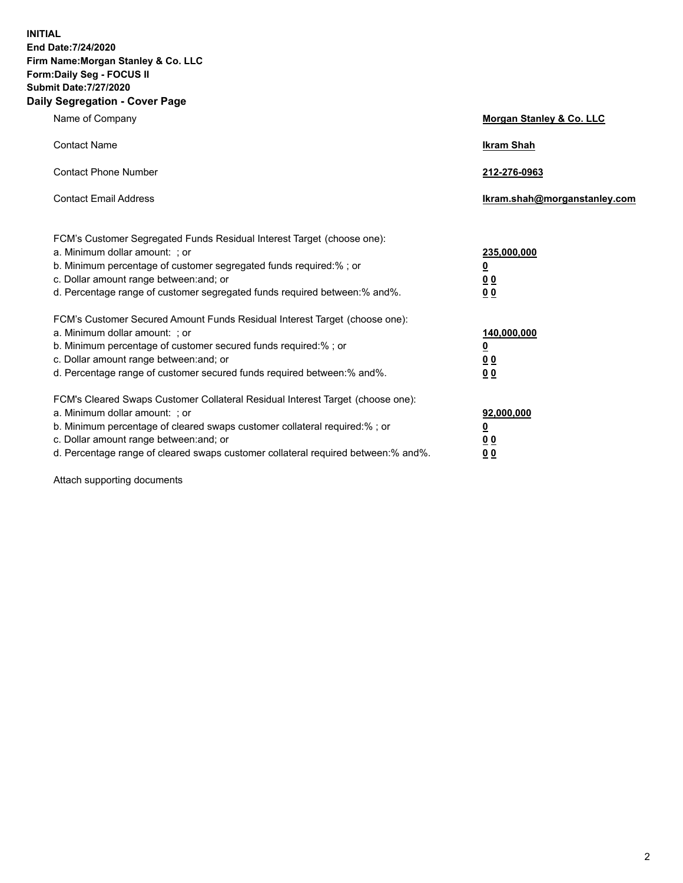**INITIAL End Date:7/24/2020 Firm Name:Morgan Stanley & Co. LLC Form:Daily Seg - FOCUS II Submit Date:7/27/2020 Daily Segregation - Cover Page**

| Name of Company                                                                                                                                                                                                                                                                                                                | Morgan Stanley & Co. LLC                                    |
|--------------------------------------------------------------------------------------------------------------------------------------------------------------------------------------------------------------------------------------------------------------------------------------------------------------------------------|-------------------------------------------------------------|
| <b>Contact Name</b>                                                                                                                                                                                                                                                                                                            | <b>Ikram Shah</b>                                           |
| <b>Contact Phone Number</b>                                                                                                                                                                                                                                                                                                    | 212-276-0963                                                |
| <b>Contact Email Address</b>                                                                                                                                                                                                                                                                                                   | lkram.shah@morganstanley.com                                |
| FCM's Customer Segregated Funds Residual Interest Target (choose one):<br>a. Minimum dollar amount: ; or<br>b. Minimum percentage of customer segregated funds required:% ; or<br>c. Dollar amount range between: and; or<br>d. Percentage range of customer segregated funds required between:% and%.                         | 235,000,000<br><u>0</u><br>0 <sup>0</sup><br>00             |
| FCM's Customer Secured Amount Funds Residual Interest Target (choose one):<br>a. Minimum dollar amount: : or<br>b. Minimum percentage of customer secured funds required:%; or<br>c. Dollar amount range between: and; or<br>d. Percentage range of customer secured funds required between: % and %.                          | 140,000,000<br><u>0</u><br>0 <sub>0</sub><br>0 <sub>0</sub> |
| FCM's Cleared Swaps Customer Collateral Residual Interest Target (choose one):<br>a. Minimum dollar amount: ; or<br>b. Minimum percentage of cleared swaps customer collateral required:% ; or<br>c. Dollar amount range between: and; or<br>d. Percentage range of cleared swaps customer collateral required between:% and%. | 92,000,000<br><u>0</u><br><u>00</u><br>00                   |

Attach supporting documents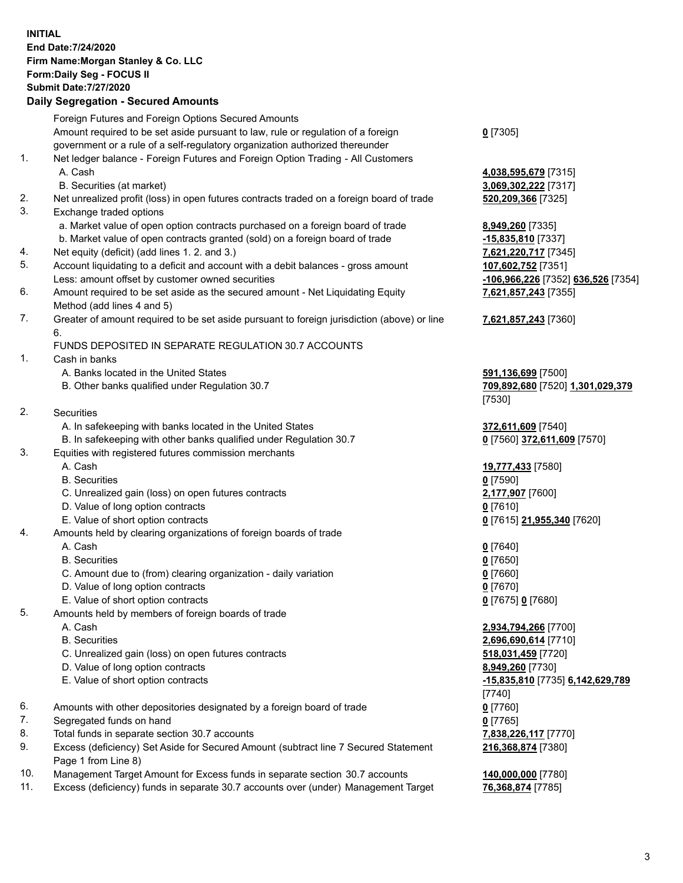## **INITIAL End Date:7/24/2020 Firm Name:Morgan Stanley & Co. LLC Form:Daily Seg - FOCUS II Submit Date:7/27/2020 Daily Segregation - Secured Amounts**

|    | Foreign Futures and Foreign Options Secured Amounts                                                        |                                    |
|----|------------------------------------------------------------------------------------------------------------|------------------------------------|
|    | Amount required to be set aside pursuant to law, rule or regulation of a foreign                           | $0$ [7305]                         |
|    | government or a rule of a self-regulatory organization authorized thereunder                               |                                    |
| 1. | Net ledger balance - Foreign Futures and Foreign Option Trading - All Customers                            |                                    |
|    | A. Cash                                                                                                    | 4,038,595,679 [7315]               |
|    | B. Securities (at market)                                                                                  | 3,069,302,222 [7317]               |
| 2. | Net unrealized profit (loss) in open futures contracts traded on a foreign board of trade                  | 520,209,366 [7325]                 |
| 3. | Exchange traded options                                                                                    |                                    |
|    | a. Market value of open option contracts purchased on a foreign board of trade                             | 8,949,260 [7335]                   |
|    | b. Market value of open contracts granted (sold) on a foreign board of trade                               | $-15,835,810$ [7337]               |
| 4. | Net equity (deficit) (add lines 1. 2. and 3.)                                                              | 7,621,220,717 [7345]               |
| 5. | Account liquidating to a deficit and account with a debit balances - gross amount                          | 107,602,752 [7351]                 |
|    | Less: amount offset by customer owned securities                                                           | -106,966,226 [7352] 636,526 [7354] |
| 6. | Amount required to be set aside as the secured amount - Net Liquidating Equity                             | 7,621,857,243 [7355]               |
|    | Method (add lines 4 and 5)                                                                                 |                                    |
| 7. | Greater of amount required to be set aside pursuant to foreign jurisdiction (above) or line                | 7,621,857,243 [7360]               |
|    | 6.                                                                                                         |                                    |
|    | FUNDS DEPOSITED IN SEPARATE REGULATION 30.7 ACCOUNTS                                                       |                                    |
| 1. | Cash in banks                                                                                              |                                    |
|    | A. Banks located in the United States                                                                      | 591,136,699 [7500]                 |
|    | B. Other banks qualified under Regulation 30.7                                                             | 709,892,680 [7520] 1,301,029,379   |
|    |                                                                                                            | [7530]                             |
| 2. | Securities                                                                                                 |                                    |
|    | A. In safekeeping with banks located in the United States                                                  | 372,611,609 [7540]                 |
|    | B. In safekeeping with other banks qualified under Regulation 30.7                                         | 0 [7560] 372,611,609 [7570]        |
| 3. | Equities with registered futures commission merchants                                                      |                                    |
|    | A. Cash                                                                                                    | 19,777,433 [7580]                  |
|    | <b>B.</b> Securities                                                                                       | $0$ [7590]                         |
|    | C. Unrealized gain (loss) on open futures contracts                                                        | 2,177,907 [7600]                   |
|    | D. Value of long option contracts                                                                          | $0$ [7610]                         |
|    | E. Value of short option contracts                                                                         | 0 [7615] 21,955,340 [7620]         |
| 4. | Amounts held by clearing organizations of foreign boards of trade                                          |                                    |
|    | A. Cash                                                                                                    | $0$ [7640]                         |
|    | <b>B.</b> Securities                                                                                       | $0$ [7650]                         |
|    | C. Amount due to (from) clearing organization - daily variation                                            | $0$ [7660]                         |
|    | D. Value of long option contracts                                                                          | $0$ [7670]                         |
|    | E. Value of short option contracts                                                                         | 0 [7675] 0 [7680]                  |
| 5. | Amounts held by members of foreign boards of trade                                                         |                                    |
|    | A. Cash                                                                                                    | 2,934,794,266 [7700]               |
|    | <b>B.</b> Securities                                                                                       | 2,696,690,614 [7710]               |
|    | C. Unrealized gain (loss) on open futures contracts                                                        | 518,031,459 [7720]                 |
|    | D. Value of long option contracts                                                                          | 8,949,260 [7730]                   |
|    | E. Value of short option contracts                                                                         | -15,835,810 [7735] 6,142,629,789   |
|    |                                                                                                            | [7740]                             |
| 6. | Amounts with other depositories designated by a foreign board of trade                                     | $0$ [7760]                         |
| 7. | Segregated funds on hand                                                                                   | $0$ [7765]                         |
| 8. | Total funds in separate section 30.7 accounts                                                              | 7,838,226,117 [7770]               |
| 9. | Excess (deficiency) Set Aside for Secured Amount (subtract line 7 Secured Statement<br>Page 1 from Line 8) | 216,368,874 [7380]                 |

- 10. Management Target Amount for Excess funds in separate section 30.7 accounts **140,000,000** [7780]
- 11. Excess (deficiency) funds in separate 30.7 accounts over (under) Management Target **76,368,874** [7785]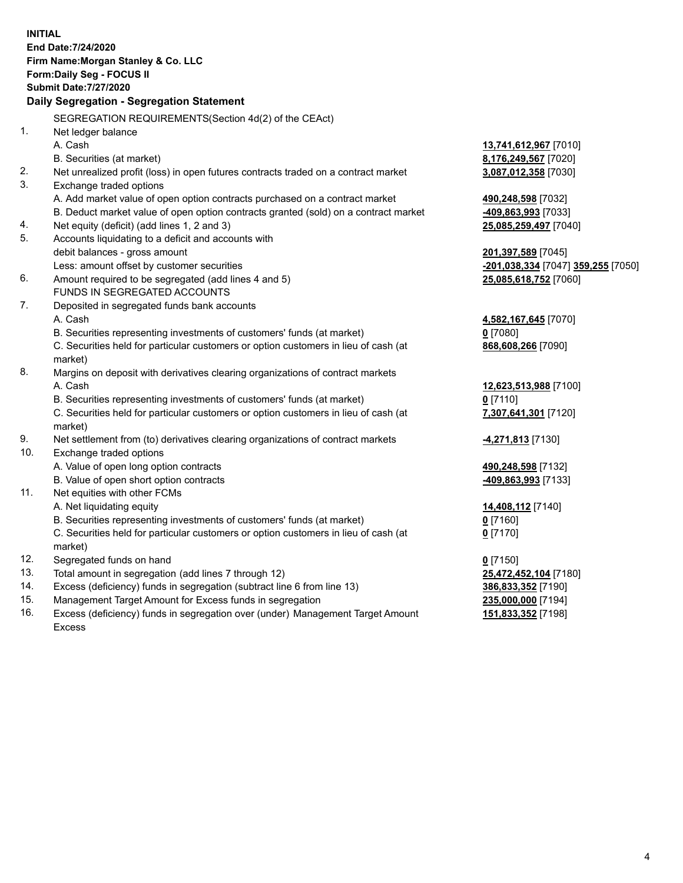**INITIAL End Date:7/24/2020 Firm Name:Morgan Stanley & Co. LLC Form:Daily Seg - FOCUS II Submit Date:7/27/2020 Daily Segregation - Segregation Statement** SEGREGATION REQUIREMENTS(Section 4d(2) of the CEAct) 1. Net ledger balance A. Cash **13,741,612,967** [7010] B. Securities (at market) **8,176,249,567** [7020] 2. Net unrealized profit (loss) in open futures contracts traded on a contract market **3,087,012,358** [7030] 3. Exchange traded options A. Add market value of open option contracts purchased on a contract market **490,248,598** [7032] B. Deduct market value of open option contracts granted (sold) on a contract market **-409,863,993** [7033] 4. Net equity (deficit) (add lines 1, 2 and 3) **25,085,259,497** [7040] 5. Accounts liquidating to a deficit and accounts with debit balances - gross amount **201,397,589** [7045] Less: amount offset by customer securities **-201,038,334** [7047] **359,255** [7050] 6. Amount required to be segregated (add lines 4 and 5) **25,085,618,752** [7060] FUNDS IN SEGREGATED ACCOUNTS 7. Deposited in segregated funds bank accounts A. Cash **4,582,167,645** [7070] B. Securities representing investments of customers' funds (at market) **0** [7080] C. Securities held for particular customers or option customers in lieu of cash (at market) **868,608,266** [7090] 8. Margins on deposit with derivatives clearing organizations of contract markets A. Cash **12,623,513,988** [7100] B. Securities representing investments of customers' funds (at market) **0** [7110] C. Securities held for particular customers or option customers in lieu of cash (at market) **7,307,641,301** [7120] 9. Net settlement from (to) derivatives clearing organizations of contract markets **-4,271,813** [7130] 10. Exchange traded options A. Value of open long option contracts **490,248,598** [7132] B. Value of open short option contracts **-409,863,993** [7133] 11. Net equities with other FCMs A. Net liquidating equity **14,408,112** [7140] B. Securities representing investments of customers' funds (at market) **0** [7160] C. Securities held for particular customers or option customers in lieu of cash (at market) **0** [7170] 12. Segregated funds on hand **0** [7150] 13. Total amount in segregation (add lines 7 through 12) **25,472,452,104** [7180] 14. Excess (deficiency) funds in segregation (subtract line 6 from line 13) **386,833,352** [7190] 15. Management Target Amount for Excess funds in segregation **235,000,000** [7194] 16. Excess (deficiency) funds in segregation over (under) Management Target Amount **151,833,352** [7198]

Excess